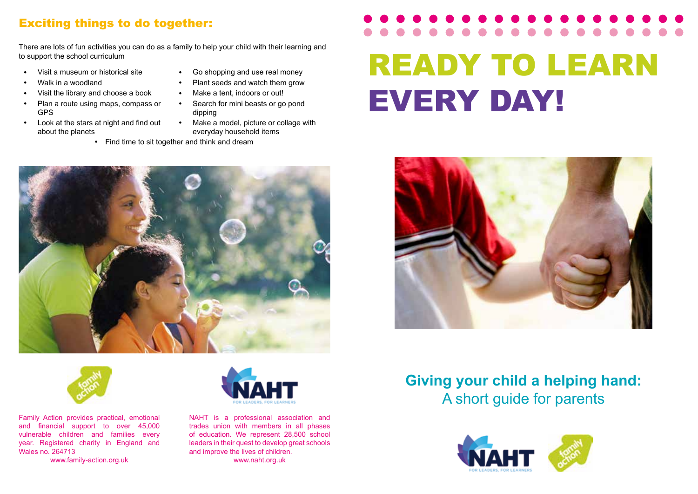### Exciting things to do together:

There are lots of fun activities you can do as a family to help your child with their learning and to support the school curriculum

- 
- 
- Visit the library and choose a book **Make a tent, indoors or out!**
- Plan a route using maps, compass or GPS
- Look at the stars at night and find out about the planets
- Visit a museum or historical site **CO** shopping and use real money
	- Walk in a woodland **Plant seeds** and watch them grow
		-
		- Search for mini beasts or go pond dipping
		- Make a model, picture or collage with everyday household items
		- Find time to sit together and think and dream

# READY TO LEARN EVERY DAY!





Family Action provides practical, emotional and financial support to over 45,000 vulnerable children and families every year. Registered charity in England and Wales no. 264713

www.family-action.org.uk



NAHT is a professional association and trades union with members in all phases of education. We represent 28,500 school leaders in their quest to develop great schools and improve the lives of children. www.naht.org.uk



# **Giving your child a helping hand:** A short guide for parents